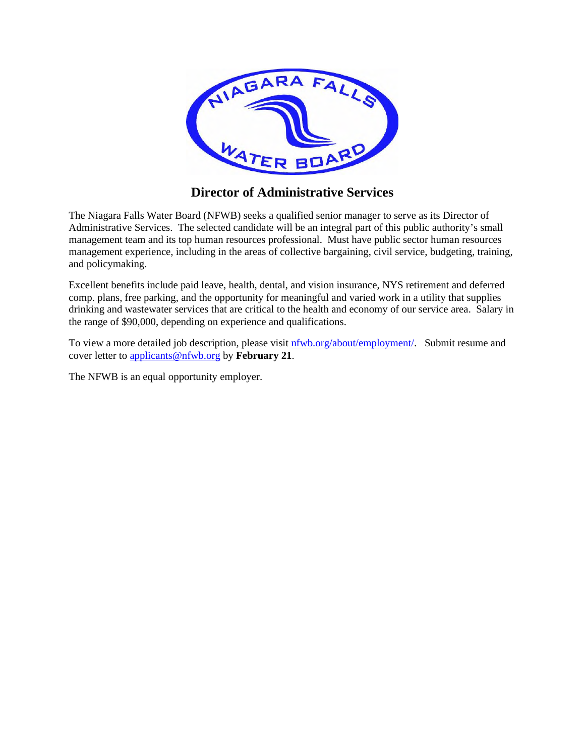

# **Director of Administrative Services**

The Niagara Falls Water Board (NFWB) seeks a qualified senior manager to serve as its Director of Administrative Services. The selected candidate will be an integral part of this public authority's small management team and its top human resources professional. Must have public sector human resources management experience, including in the areas of collective bargaining, civil service, budgeting, training, and policymaking.

Excellent benefits include paid leave, health, dental, and vision insurance, NYS retirement and deferred comp. plans, free parking, and the opportunity for meaningful and varied work in a utility that supplies drinking and wastewater services that are critical to the health and economy of our service area. Salary in the range of \$90,000, depending on experience and qualifications.

To view a more detailed job description, please visit  $n f w b \cdot \frac{1}{2}$  org/about/employment/. Submit resume and cover letter to applicants@nfwb.org by **February 21**.

The NFWB is an equal opportunity employer.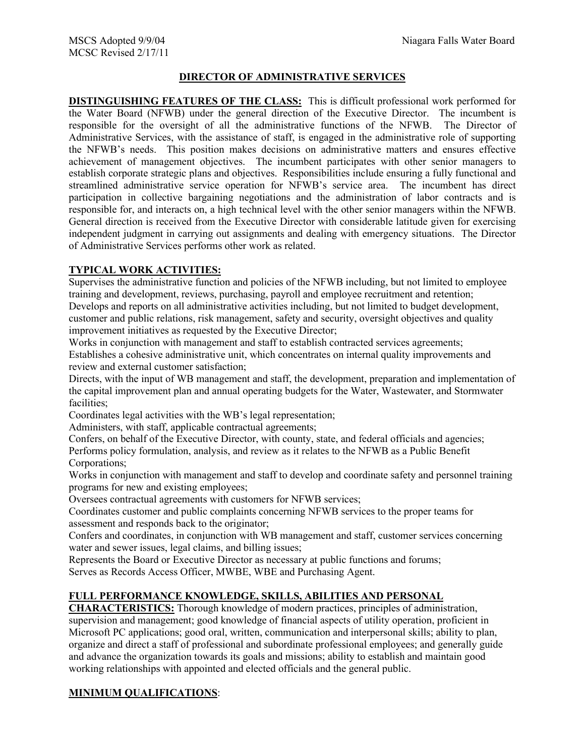#### **DIRECTOR OF ADMINISTRATIVE SERVICES**

**DISTINGUISHING FEATURES OF THE CLASS:** This is difficult professional work performed for the Water Board (NFWB) under the general direction of the Executive Director. The incumbent is responsible for the oversight of all the administrative functions of the NFWB. The Director of Administrative Services, with the assistance of staff, is engaged in the administrative role of supporting the NFWB's needs. This position makes decisions on administrative matters and ensures effective achievement of management objectives. The incumbent participates with other senior managers to establish corporate strategic plans and objectives. Responsibilities include ensuring a fully functional and streamlined administrative service operation for NFWB's service area. The incumbent has direct participation in collective bargaining negotiations and the administration of labor contracts and is responsible for, and interacts on, a high technical level with the other senior managers within the NFWB. General direction is received from the Executive Director with considerable latitude given for exercising independent judgment in carrying out assignments and dealing with emergency situations. The Director of Administrative Services performs other work as related.

### **TYPICAL WORK ACTIVITIES:**

Supervises the administrative function and policies of the NFWB including, but not limited to employee training and development, reviews, purchasing, payroll and employee recruitment and retention; Develops and reports on all administrative activities including, but not limited to budget development, customer and public relations, risk management, safety and security, oversight objectives and quality improvement initiatives as requested by the Executive Director;

Works in conjunction with management and staff to establish contracted services agreements; Establishes a cohesive administrative unit, which concentrates on internal quality improvements and review and external customer satisfaction;

Directs, with the input of WB management and staff, the development, preparation and implementation of the capital improvement plan and annual operating budgets for the Water, Wastewater, and Stormwater facilities;

Coordinates legal activities with the WB's legal representation;

Administers, with staff, applicable contractual agreements;

Confers, on behalf of the Executive Director, with county, state, and federal officials and agencies; Performs policy formulation, analysis, and review as it relates to the NFWB as a Public Benefit Corporations;

Works in conjunction with management and staff to develop and coordinate safety and personnel training programs for new and existing employees;

Oversees contractual agreements with customers for NFWB services;

Coordinates customer and public complaints concerning NFWB services to the proper teams for assessment and responds back to the originator;

Confers and coordinates, in conjunction with WB management and staff, customer services concerning water and sewer issues, legal claims, and billing issues;

Represents the Board or Executive Director as necessary at public functions and forums; Serves as Records Access Officer, MWBE, WBE and Purchasing Agent.

## **FULL PERFORMANCE KNOWLEDGE, SKILLS, ABILITIES AND PERSONAL**

**CHARACTERISTICS:** Thorough knowledge of modern practices, principles of administration, supervision and management; good knowledge of financial aspects of utility operation, proficient in Microsoft PC applications; good oral, written, communication and interpersonal skills; ability to plan, organize and direct a staff of professional and subordinate professional employees; and generally guide and advance the organization towards its goals and missions; ability to establish and maintain good working relationships with appointed and elected officials and the general public.

### **MINIMUM QUALIFICATIONS**: